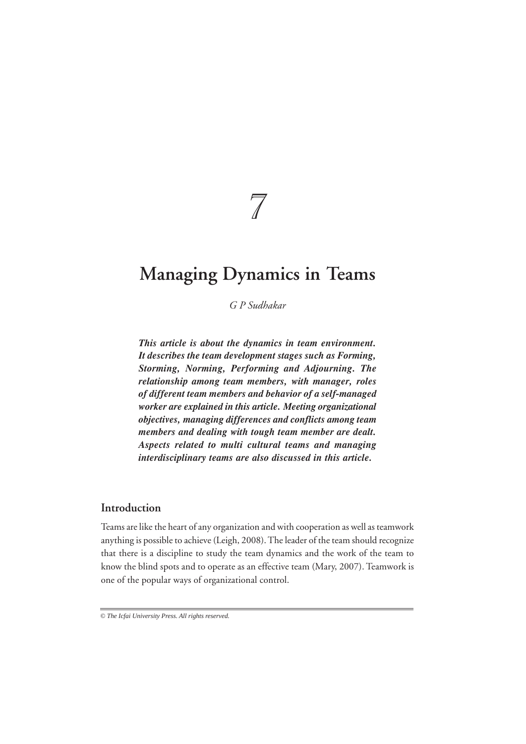# 7

# **Managing Dynamics in Teams**

*G P Sudhakar*

*This article is about the dynamics in team environment. It describes the team development stages such as Forming, Storming, Norming, Performing and Adjourning. The relationship among team members, with manager, roles of different team members and behavior of a self-managed worker are explained in this article. Meeting organizational objectives, managing differences and conflicts among team members and dealing with tough team member are dealt. Aspects related to multi cultural teams and managing interdisciplinary teams are also discussed in this article.*

# **Introduction**

Teams are like the heart of any organization and with cooperation as well as teamwork anything is possible to achieve (Leigh, 2008). The leader of the team should recognize that there is a discipline to study the team dynamics and the work of the team to know the blind spots and to operate as an effective team (Mary, 2007). Teamwork is one of the popular ways of organizational control.

*<sup>©</sup> The Icfai University Press. All rights reserved.*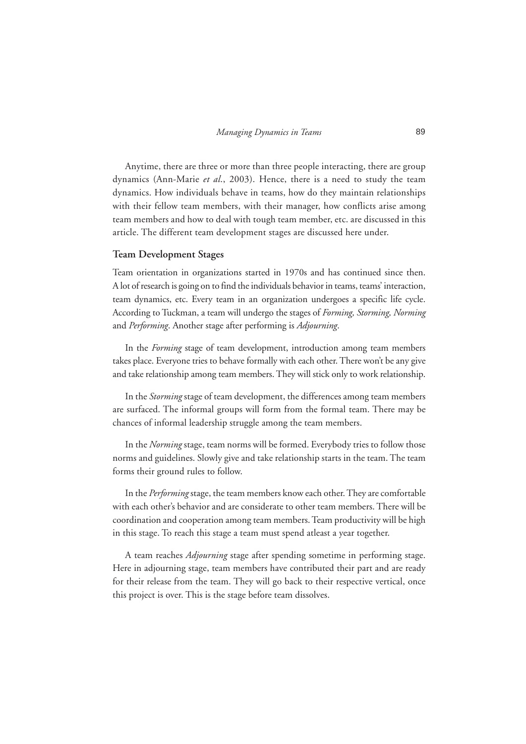Anytime, there are three or more than three people interacting, there are group dynamics (Ann-Marie *et al*., 2003). Hence, there is a need to study the team dynamics. How individuals behave in teams, how do they maintain relationships with their fellow team members, with their manager, how conflicts arise among team members and how to deal with tough team member, etc. are discussed in this article. The different team development stages are discussed here under.

#### **Team Development Stages**

Team orientation in organizations started in 1970s and has continued since then. A lot of research is going on to find the individuals behavior in teams, teams' interaction, team dynamics, etc. Every team in an organization undergoes a specific life cycle. According to Tuckman, a team will undergo the stages of *Forming, Storming, Norming* and *Performing*. Another stage after performing is *Adjourning*.

In the *Forming* stage of team development, introduction among team members takes place. Everyone tries to behave formally with each other. There won't be any give and take relationship among team members. They will stick only to work relationship.

In the *Storming* stage of team development, the differences among team members are surfaced. The informal groups will form from the formal team. There may be chances of informal leadership struggle among the team members.

In the *Norming* stage, team norms will be formed. Everybody tries to follow those norms and guidelines. Slowly give and take relationship starts in the team. The team forms their ground rules to follow.

In the *Performing* stage, the team members know each other. They are comfortable with each other's behavior and are considerate to other team members. There will be coordination and cooperation among team members. Team productivity will be high in this stage. To reach this stage a team must spend atleast a year together.

A team reaches *Adjourning* stage after spending sometime in performing stage. Here in adjourning stage, team members have contributed their part and are ready for their release from the team. They will go back to their respective vertical, once this project is over. This is the stage before team dissolves.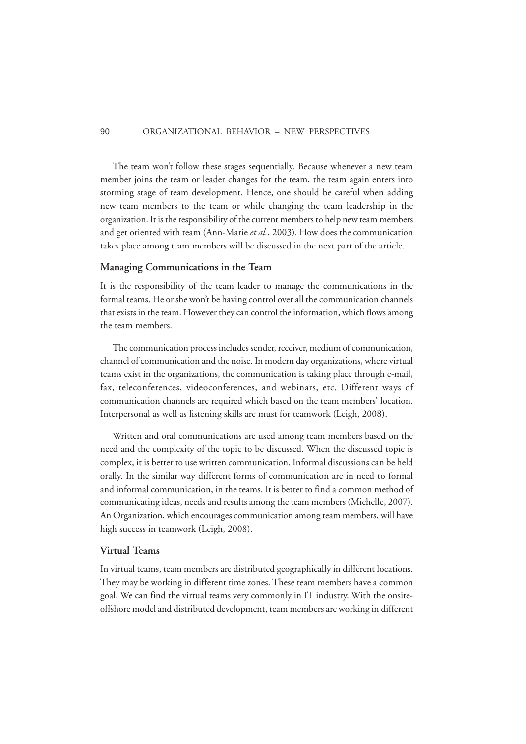The team won't follow these stages sequentially. Because whenever a new team member joins the team or leader changes for the team, the team again enters into storming stage of team development. Hence, one should be careful when adding new team members to the team or while changing the team leadership in the organization. It is the responsibility of the current members to help new team members and get oriented with team (Ann-Marie *et al.*, 2003). How does the communication takes place among team members will be discussed in the next part of the article.

#### **Managing Communications in the Team**

It is the responsibility of the team leader to manage the communications in the formal teams. He or she won't be having control over all the communication channels that exists in the team. However they can control the information, which flows among the team members.

The communication process includes sender, receiver, medium of communication, channel of communication and the noise. In modern day organizations, where virtual teams exist in the organizations, the communication is taking place through e-mail, fax, teleconferences, videoconferences, and webinars, etc. Different ways of communication channels are required which based on the team members' location. Interpersonal as well as listening skills are must for teamwork (Leigh, 2008).

Written and oral communications are used among team members based on the need and the complexity of the topic to be discussed. When the discussed topic is complex, it is better to use written communication. Informal discussions can be held orally. In the similar way different forms of communication are in need to formal and informal communication, in the teams. It is better to find a common method of communicating ideas, needs and results among the team members (Michelle, 2007). An Organization, which encourages communication among team members, will have high success in teamwork (Leigh, 2008).

#### **Virtual Teams**

In virtual teams, team members are distributed geographically in different locations. They may be working in different time zones. These team members have a common goal. We can find the virtual teams very commonly in IT industry. With the onsiteoffshore model and distributed development, team members are working in different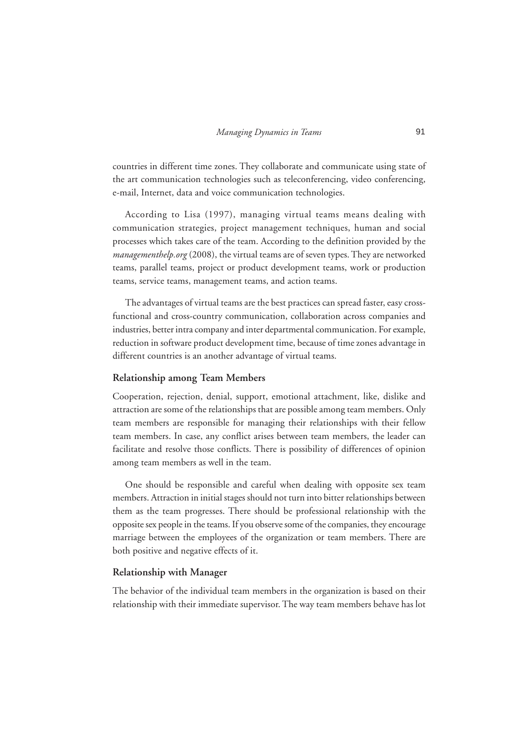countries in different time zones. They collaborate and communicate using state of the art communication technologies such as teleconferencing, video conferencing, e-mail, Internet, data and voice communication technologies.

According to Lisa (1997), managing virtual teams means dealing with communication strategies, project management techniques, human and social processes which takes care of the team. According to the definition provided by the *managementhelp.org* (2008), the virtual teams are of seven types. They are networked teams, parallel teams, project or product development teams, work or production teams, service teams, management teams, and action teams.

The advantages of virtual teams are the best practices can spread faster, easy crossfunctional and cross-country communication, collaboration across companies and industries, better intra company and inter departmental communication. For example, reduction in software product development time, because of time zones advantage in different countries is an another advantage of virtual teams.

#### **Relationship among Team Members**

Cooperation, rejection, denial, support, emotional attachment, like, dislike and attraction are some of the relationships that are possible among team members. Only team members are responsible for managing their relationships with their fellow team members. In case, any conflict arises between team members, the leader can facilitate and resolve those conflicts. There is possibility of differences of opinion among team members as well in the team.

One should be responsible and careful when dealing with opposite sex team members. Attraction in initial stages should not turn into bitter relationships between them as the team progresses. There should be professional relationship with the opposite sex people in the teams. If you observe some of the companies, they encourage marriage between the employees of the organization or team members. There are both positive and negative effects of it.

#### **Relationship with Manager**

The behavior of the individual team members in the organization is based on their relationship with their immediate supervisor. The way team members behave has lot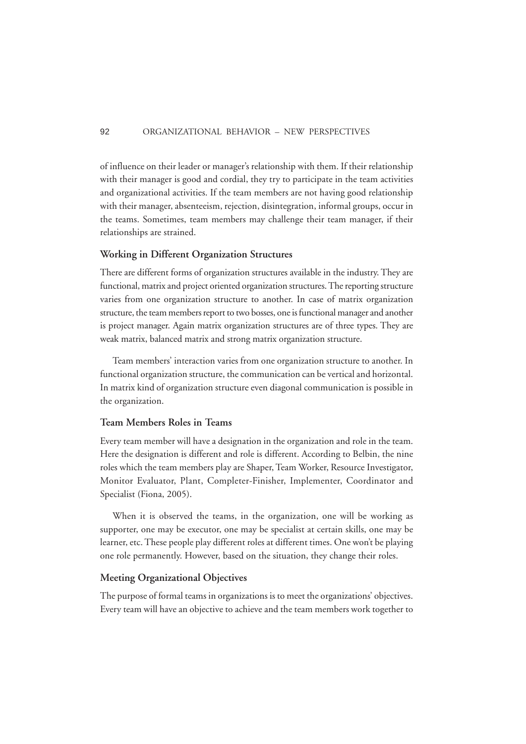of influence on their leader or manager's relationship with them. If their relationship with their manager is good and cordial, they try to participate in the team activities and organizational activities. If the team members are not having good relationship with their manager, absenteeism, rejection, disintegration, informal groups, occur in the teams. Sometimes, team members may challenge their team manager, if their relationships are strained.

#### **Working in Different Organization Structures**

There are different forms of organization structures available in the industry. They are functional, matrix and project oriented organization structures. The reporting structure varies from one organization structure to another. In case of matrix organization structure, the team members report to two bosses, one is functional manager and another is project manager. Again matrix organization structures are of three types. They are weak matrix, balanced matrix and strong matrix organization structure.

Team members' interaction varies from one organization structure to another. In functional organization structure, the communication can be vertical and horizontal. In matrix kind of organization structure even diagonal communication is possible in the organization.

# **Team Members Roles in Teams**

Every team member will have a designation in the organization and role in the team. Here the designation is different and role is different. According to Belbin, the nine roles which the team members play are Shaper, Team Worker, Resource Investigator, Monitor Evaluator, Plant, Completer-Finisher, Implementer, Coordinator and Specialist (Fiona, 2005).

When it is observed the teams, in the organization, one will be working as supporter, one may be executor, one may be specialist at certain skills, one may be learner, etc. These people play different roles at different times. One won't be playing one role permanently. However, based on the situation, they change their roles.

# **Meeting Organizational Objectives**

The purpose of formal teams in organizations is to meet the organizations' objectives. Every team will have an objective to achieve and the team members work together to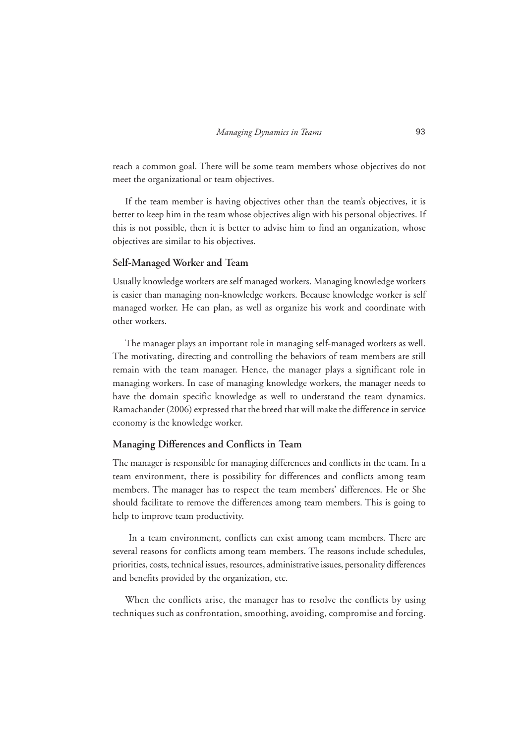reach a common goal. There will be some team members whose objectives do not meet the organizational or team objectives.

If the team member is having objectives other than the team's objectives, it is better to keep him in the team whose objectives align with his personal objectives. If this is not possible, then it is better to advise him to find an organization, whose objectives are similar to his objectives.

#### **Self-Managed Worker and Team**

Usually knowledge workers are self managed workers. Managing knowledge workers is easier than managing non-knowledge workers. Because knowledge worker is self managed worker. He can plan, as well as organize his work and coordinate with other workers.

The manager plays an important role in managing self-managed workers as well. The motivating, directing and controlling the behaviors of team members are still remain with the team manager. Hence, the manager plays a significant role in managing workers. In case of managing knowledge workers, the manager needs to have the domain specific knowledge as well to understand the team dynamics. Ramachander (2006) expressed that the breed that will make the difference in service economy is the knowledge worker.

#### **Managing Differences and Conflicts in Team**

The manager is responsible for managing differences and conflicts in the team. In a team environment, there is possibility for differences and conflicts among team members. The manager has to respect the team members' differences. He or She should facilitate to remove the differences among team members. This is going to help to improve team productivity.

 In a team environment, conflicts can exist among team members. There are several reasons for conflicts among team members. The reasons include schedules, priorities, costs, technical issues, resources, administrative issues, personality differences and benefits provided by the organization, etc.

When the conflicts arise, the manager has to resolve the conflicts by using techniques such as confrontation, smoothing, avoiding, compromise and forcing.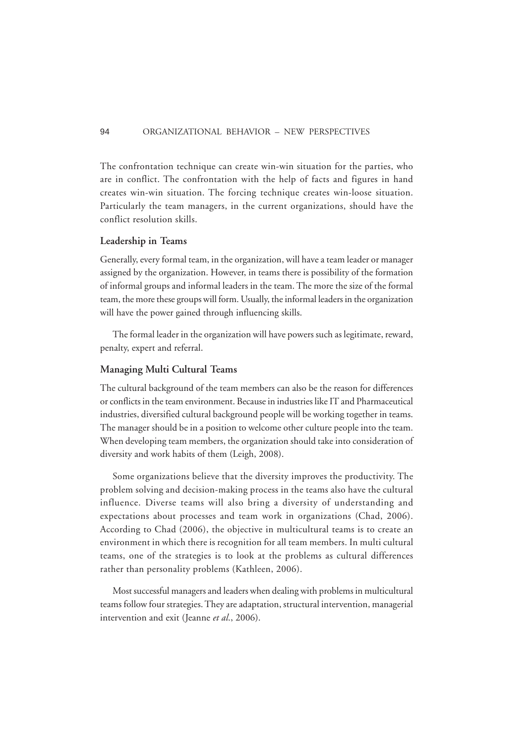The confrontation technique can create win-win situation for the parties, who are in conflict. The confrontation with the help of facts and figures in hand creates win-win situation. The forcing technique creates win-loose situation. Particularly the team managers, in the current organizations, should have the conflict resolution skills.

#### **Leadership in Teams**

Generally, every formal team, in the organization, will have a team leader or manager assigned by the organization. However, in teams there is possibility of the formation of informal groups and informal leaders in the team. The more the size of the formal team, the more these groups will form. Usually, the informal leaders in the organization will have the power gained through influencing skills.

The formal leader in the organization will have powers such as legitimate, reward, penalty, expert and referral.

# **Managing Multi Cultural Teams**

The cultural background of the team members can also be the reason for differences or conflicts in the team environment. Because in industries like IT and Pharmaceutical industries, diversified cultural background people will be working together in teams. The manager should be in a position to welcome other culture people into the team. When developing team members, the organization should take into consideration of diversity and work habits of them (Leigh, 2008).

Some organizations believe that the diversity improves the productivity. The problem solving and decision-making process in the teams also have the cultural influence. Diverse teams will also bring a diversity of understanding and expectations about processes and team work in organizations (Chad, 2006). According to Chad (2006), the objective in multicultural teams is to create an environment in which there is recognition for all team members. In multi cultural teams, one of the strategies is to look at the problems as cultural differences rather than personality problems (Kathleen, 2006).

Most successful managers and leaders when dealing with problems in multicultural teams follow four strategies. They are adaptation, structural intervention, managerial intervention and exit (Jeanne *et al*., 2006).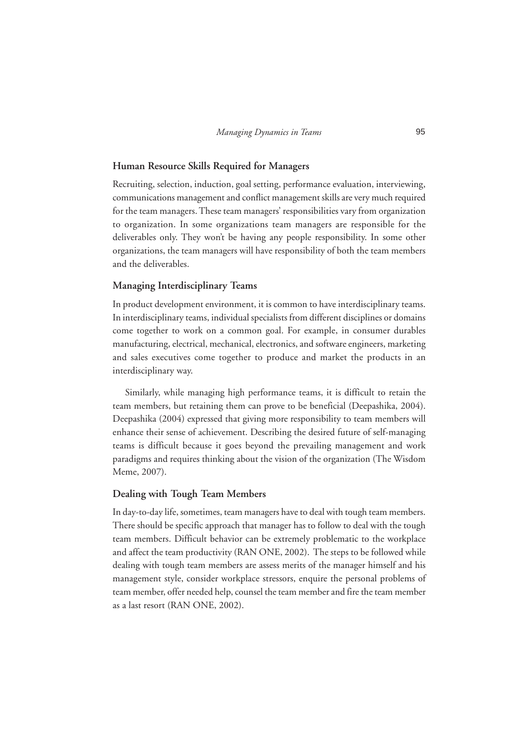#### **Human Resource Skills Required for Managers**

Recruiting, selection, induction, goal setting, performance evaluation, interviewing, communications management and conflict management skills are very much required for the team managers. These team managers' responsibilities vary from organization to organization. In some organizations team managers are responsible for the deliverables only. They won't be having any people responsibility. In some other organizations, the team managers will have responsibility of both the team members and the deliverables.

#### **Managing Interdisciplinary Teams**

In product development environment, it is common to have interdisciplinary teams. In interdisciplinary teams, individual specialists from different disciplines or domains come together to work on a common goal. For example, in consumer durables manufacturing, electrical, mechanical, electronics, and software engineers, marketing and sales executives come together to produce and market the products in an interdisciplinary way.

Similarly, while managing high performance teams, it is difficult to retain the team members, but retaining them can prove to be beneficial (Deepashika, 2004). Deepashika (2004) expressed that giving more responsibility to team members will enhance their sense of achievement. Describing the desired future of self-managing teams is difficult because it goes beyond the prevailing management and work paradigms and requires thinking about the vision of the organization (The Wisdom Meme, 2007).

#### **Dealing with Tough Team Members**

In day-to-day life, sometimes, team managers have to deal with tough team members. There should be specific approach that manager has to follow to deal with the tough team members. Difficult behavior can be extremely problematic to the workplace and affect the team productivity (RAN ONE, 2002). The steps to be followed while dealing with tough team members are assess merits of the manager himself and his management style, consider workplace stressors, enquire the personal problems of team member, offer needed help, counsel the team member and fire the team member as a last resort (RAN ONE, 2002).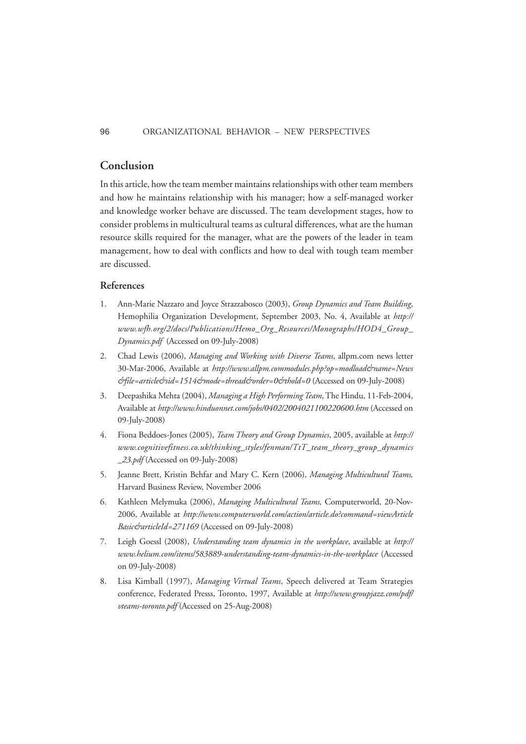# **Conclusion**

In this article, how the team member maintains relationships with other team members and how he maintains relationship with his manager; how a self-managed worker and knowledge worker behave are discussed. The team development stages, how to consider problems in multicultural teams as cultural differences, what are the human resource skills required for the manager, what are the powers of the leader in team management, how to deal with conflicts and how to deal with tough team member are discussed.

#### **References**

- 1. Ann-Marie Nazzaro and Joyce Strazzabosco (2003), *Group Dynamics and Team Building*, Hemophilia Organization Development, September 2003, No. 4, Available at *http:// www.wfh.org/2/docs/Publications/Hemo\_Org\_Resources/Monographs/HOD4\_Group\_ Dynamics.pdf* (Accessed on 09-July-2008)
- 2. Chad Lewis (2006), *Managing and Working with Diverse Teams*, allpm.com news letter 30-Mar-2006, Available at http://www.allpm.commodules.php?op=modload&name=News *&file=article&sid=1514&mode=thread&order=0&thold=0* (Accessed on 09-July-2008)
- 3. Deepashika Mehta (2004), *Managing a High Performing Team*, The Hindu, 11-Feb-2004, Available at *http://www.hinduonnet.com/jobs/0402/2004021100220600.htm* (Accessed on 09-July-2008)
- 4. Fiona Beddoes-Jones (2005), *Team Theory and Group Dynamics*, 2005, available at *http:// www.cognitivefitness.co.uk/thinking\_styles/fenman/TtT\_team\_theory\_group\_dynamics \_23.pdf* (Accessed on 09-July-2008)
- 5. Jeanne Brett, Kristin Behfar and Mary C. Kern (2006), *Managing Multicultural Teams,* Harvard Business Review, November 2006
- 6. Kathleen Melymuka (2006), *Managing Multicultural Teams,* Computerworld, 20-Nov-2006, Available at *http://www.computerworld.com/action/article.do?command=viewArticle Basic&articleId=271169* (Accessed on 09-July-2008)
- 7. Leigh Goessl (2008), *Understanding team dynamics in the workplace*, available at *http:// www.helium.com/items/583889-understanding-team-dynamics-in-the-workplace* (Accessed on 09-July-2008)
- 8. Lisa Kimball (1997), *Managing Virtual Teams*, Speech delivered at Team Strategies conference, Federated Presss, Toronto, 1997, Available at *http://www.groupjazz.com/pdf/ vteams-toronto.pdf* (Accessed on 25-Aug-2008)